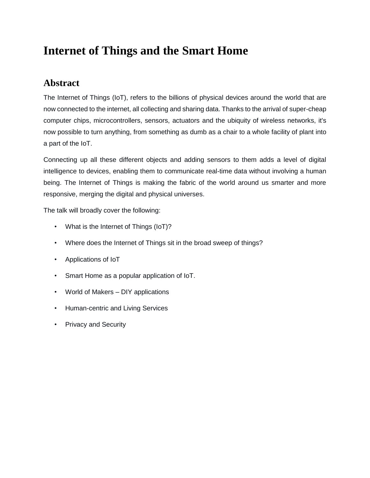## **Internet of Things and the Smart Home**

## **Abstract**

The Internet of Things (IoT), refers to the billions of physical devices around the world that are now connected to the internet, all collecting and sharing data. Thanks to the arrival of super-cheap computer chips, microcontrollers, sensors, actuators and the ubiquity of wireless networks, it's now possible to turn anything, from something as dumb as a chair to a whole facility of plant into a part of the IoT.

Connecting up all these different objects and adding sensors to them adds a level of digital intelligence to devices, enabling them to communicate real-time data without involving a human being. The Internet of Things is making the fabric of the world around us smarter and more responsive, merging the digital and physical universes.

The talk will broadly cover the following:

- What is the Internet of Things (IoT)?
- Where does the Internet of Things sit in the broad sweep of things?
- Applications of IoT
- Smart Home as a popular application of IoT.
- World of Makers DIY applications
- Human-centric and Living Services
- Privacy and Security